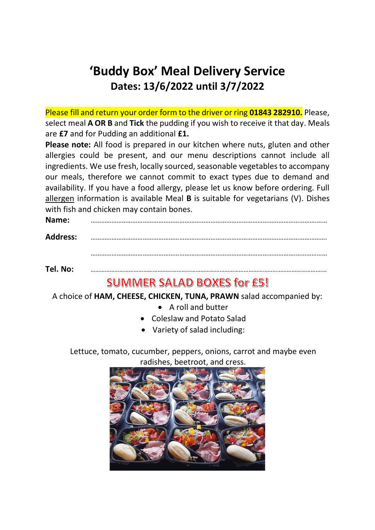# **'Buddy Box' Meal Delivery Service Dates: 13/6/2022 until 3/7/2022**

Please fill and return your order form to the driver or ring **01843 282910.** Please, select meal **A OR B** and **Tick** the pudding if you wish to receive it that day. Meals are **£7** and for Pudding an additional **£1.**

**Please note:** All food is prepared in our kitchen where nuts, gluten and other allergies could be present, and our menu descriptions cannot include all ingredients. We use fresh, locally sourced, seasonable vegetables to accompany our meals, therefore we cannot commit to exact types due to demand and availability. If you have a food allergy, please let us know before ordering. Full allergen information is available Meal **B** is suitable for vegetarians (V). Dishes with fish and chicken may contain bones.

| Name: |  |
|-------|--|
|       |  |

**Address:** ……………………………………………………………………………………………………………………….

……………………………………………………………………………………………………….………………

**Tel. No:** ……………………………………………………………………………………………………………………………….…

## **SUMMER SALAD BOXES for £5!**

A choice of **HAM, CHEESE, CHICKEN, TUNA, PRAWN** salad accompanied by:

- A roll and butter
- Coleslaw and Potato Salad
- Variety of salad including:

Lettuce, tomato, cucumber, peppers, onions, carrot and maybe even radishes, beetroot, and cress.

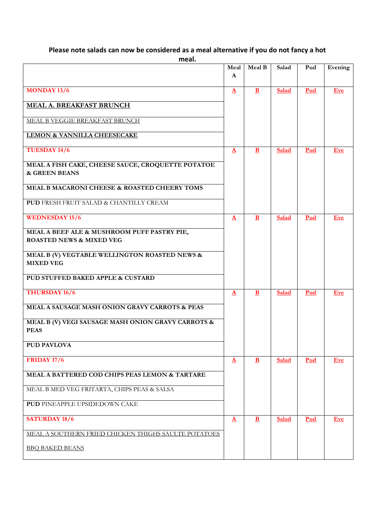#### **Please note salads can now be considered as a meal alternative if you do not fancy a hot**

**meal.**

|                                                                                    | Meal<br>A    | <b>Meal B</b> | Salad        | Pud        | Evening    |
|------------------------------------------------------------------------------------|--------------|---------------|--------------|------------|------------|
| <b>MONDAY 13/6</b>                                                                 | $\Delta$     | $\mathbf{B}$  | Salad        | Pud        | <b>Eve</b> |
|                                                                                    |              |               |              |            |            |
| <b>MEAL A. BREAKFAST BRUNCH</b>                                                    |              |               |              |            |            |
| MEAL B VEGGIE BREAKFAST BRUNCH                                                     |              |               |              |            |            |
| LEMON & VANNILLA CHEESECAKE                                                        |              |               |              |            |            |
| TUESDAY 14/6                                                                       | $\Delta$     | $\mathbf{B}$  | <b>Salad</b> | Pud        | <b>Eve</b> |
| MEAL A FISH CAKE, CHEESE SAUCE, CROQUETTE POTATOE<br>& GREEN BEANS                 |              |               |              |            |            |
| MEAL B MACARONI CHEESE & ROASTED CHEERY TOMS                                       |              |               |              |            |            |
| <b>PUD FRESH FRUIT SALAD &amp; CHANTILLY CREAM</b>                                 |              |               |              |            |            |
| <b>WEDNESDAY 15/6</b>                                                              | $\Delta$     | $\mathbf{B}$  | Salad        | Pud        | <b>Eve</b> |
| MEAL A BEEF ALE & MUSHROOM PUFF PASTRY PIE,<br><b>ROASTED NEWS &amp; MIXED VEG</b> |              |               |              |            |            |
| MEAL B (V) VEGTABLE WELLINGTON ROASTED NEWS &<br><b>MIXED VEG</b>                  |              |               |              |            |            |
| PUD STUFFED BAKED APPLE & CUSTARD                                                  |              |               |              |            |            |
| THURSDAY 16/6                                                                      | $\mathbf{A}$ | B             | <b>Salad</b> | Pud        | Eve        |
| MEAL A SAUSAGE MASH ONION GRAVY CARROTS & PEAS                                     |              |               |              |            |            |
| MEAL B (V) VEGI SAUSAGE MASH ONION GRAVY CARROTS &<br><b>PEAS</b>                  |              |               |              |            |            |
| <b>PUD PAVLOVA</b>                                                                 |              |               |              |            |            |
| <b>FRIDAY 17/6</b>                                                                 | $\mathbf{A}$ | $\mathbf{B}$  | Salad        | Pud        | Eve        |
| MEAL A BATTERED COD CHIPS PEAS LEMON & TARTARE                                     |              |               |              |            |            |
| MEAL B MED VEG FRITARTA, CHIPS PEAS & SALSA                                        |              |               |              |            |            |
| PUD PINEAPPLE UPSIDEDOWN CAKE                                                      |              |               |              |            |            |
| <b>SATURDAY 18/6</b>                                                               | $\Delta$     | $\mathbf{B}$  | Salad        | <b>Pud</b> | <b>Eve</b> |
| MEAL A SOUTHERN FRIED CHICKEN THIGHS SAULTE POTATOES                               |              |               |              |            |            |
| <b>BBO BAKED BEANS</b>                                                             |              |               |              |            |            |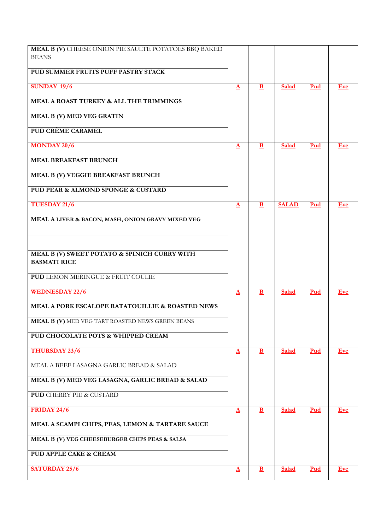| MEAL B (V) CHEESE ONION PIE SAULTE POTATOES BBQ BAKED<br><b>BEANS</b> |              |              |              |            |            |
|-----------------------------------------------------------------------|--------------|--------------|--------------|------------|------------|
|                                                                       |              |              |              |            |            |
| PUD SUMMER FRUITS PUFF PASTRY STACK                                   |              |              |              |            |            |
| <b>SUNDAY 19/6</b>                                                    | $\Delta$     | $\mathbf{B}$ | Salad        | Pud        | <b>Eve</b> |
| MEAL A ROAST TURKEY & ALL THE TRIMMINGS                               |              |              |              |            |            |
| <b>MEAL B (V) MED VEG GRATIN</b>                                      |              |              |              |            |            |
| PUD CRÈME CARAMEL                                                     |              |              |              |            |            |
| <b>MONDAY 20/6</b>                                                    | $\mathbf{A}$ | $\mathbf{B}$ | Salad        | Pud        | <b>Eve</b> |
| <b>MEAL BREAKFAST BRUNCH</b>                                          |              |              |              |            |            |
| MEAL B (V) VEGGIE BREAKFAST BRUNCH                                    |              |              |              |            |            |
| PUD PEAR & ALMOND SPONGE & CUSTARD                                    |              |              |              |            |            |
| <b>TUESDAY 21/6</b>                                                   | $\Delta$     | B            | <b>SALAD</b> | Pud        | <b>Eve</b> |
| MEAL A LIVER & BACON, MASH, ONION GRAVY MIXED VEG                     |              |              |              |            |            |
|                                                                       |              |              |              |            |            |
| MEAL B (V) SWEET POTATO & SPINICH CURRY WITH<br><b>BASMATI RICE</b>   |              |              |              |            |            |
| <b>PUD LEMON MERINGUE &amp; FRUIT COULIE</b>                          |              |              |              |            |            |
| <b>WEDNESDAY 22/6</b>                                                 | $\Delta$     | $\mathbf{B}$ | Salad        | Pud        | <b>Eve</b> |
| MEAL A PORK ESCALOPE RATATOUILLIE & ROASTED NEWS                      |              |              |              |            |            |
| MEAL B (V) MED VEG TART ROASTED NEWS GREEN BEANS                      |              |              |              |            |            |
| PUD CHOCOLATE POTS & WHIPPED CREAM                                    |              |              |              |            |            |
| THURSDAY 23/6                                                         | $\Delta$     | $\mathbf{B}$ | <b>Salad</b> | Pud        | <b>Eve</b> |
| MEAL A BEEF LASAGNA GARLIC BREAD & SALAD                              |              |              |              |            |            |
| MEAL B (V) MED VEG LASAGNA, GARLIC BREAD & SALAD                      |              |              |              |            |            |
| <b>PUD CHERRY PIE &amp; CUSTARD</b>                                   |              |              |              |            |            |
| <b>FRIDAY 24/6</b>                                                    | $\Delta$     | $\mathbf{B}$ | <b>Salad</b> | Pud        | <b>Eve</b> |
| MEAL A SCAMPI CHIPS, PEAS, LEMON & TARTARE SAUCE                      |              |              |              |            |            |
| MEAL B (V) VEG CHEESEBURGER CHIPS PEAS & SALSA                        |              |              |              |            |            |
| PUD APPLE CAKE & CREAM                                                |              |              |              |            |            |
| <b>SATURDAY 25/6</b>                                                  | $\Delta$     | $\mathbf{B}$ | <b>Salad</b> | <b>Pud</b> | <b>Eve</b> |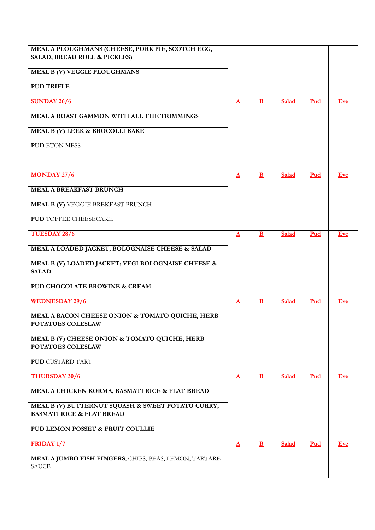| MEAL A PLOUGHMANS (CHEESE, PORK PIE, SCOTCH EGG,                                          |                   |              |              |     |            |
|-------------------------------------------------------------------------------------------|-------------------|--------------|--------------|-----|------------|
| SALAD, BREAD ROLL & PICKLES)                                                              |                   |              |              |     |            |
| MEAL B (V) VEGGIE PLOUGHMANS                                                              |                   |              |              |     |            |
| <b>PUD TRIFLE</b>                                                                         |                   |              |              |     |            |
| <b>SUNDAY 26/6</b>                                                                        | $\Delta$          | $\bf{B}$     | Salad        | Pud | Eve        |
| MEAL A ROAST GAMMON WITH ALL THE TRIMMINGS                                                |                   |              |              |     |            |
| MEAL B (V) LEEK & BROCOLLI BAKE                                                           |                   |              |              |     |            |
| <b>PUD ETON MESS</b>                                                                      |                   |              |              |     |            |
| <b>MONDAY 27/6</b>                                                                        | $\Delta$          | $\mathbf{B}$ | <b>Salad</b> | Pud | Eve        |
| <b>MEAL A BREAKFAST BRUNCH</b>                                                            |                   |              |              |     |            |
|                                                                                           |                   |              |              |     |            |
| <b>MEAL B (V) VEGGIE BREKFAST BRUNCH</b>                                                  |                   |              |              |     |            |
| <b>PUD TOFFEE CHEESECAKE</b>                                                              |                   |              |              |     |            |
| <b>TUESDAY 28/6</b>                                                                       | $\Delta$          | $\mathbf{B}$ | <b>Salad</b> | Pud | Eve        |
| MEAL A LOADED JACKET, BOLOGNAISE CHEESE & SALAD                                           |                   |              |              |     |            |
| MEAL B (V) LOADED JACKET; VEGI BOLOGNAISE CHEESE &<br><b>SALAD</b>                        |                   |              |              |     |            |
| PUD CHOCOLATE BROWINE & CREAM                                                             |                   |              |              |     |            |
| <b>WEDNESDAY 29/6</b>                                                                     | $\mathbf{A}$      | $\mathbf{B}$ | Salad        | Pud | <b>Eve</b> |
| MEAL A BACON CHEESE ONION & TOMATO QUICHE, HERB<br>POTATOES COLESLAW                      |                   |              |              |     |            |
| MEAL B (V) CHEESE ONION & TOMATO QUICHE, HERB<br>POTATOES COLESLAW                        |                   |              |              |     |            |
| <b>PUD CUSTARD TART</b>                                                                   |                   |              |              |     |            |
| THURSDAY 30/6                                                                             | $\mathbf{\Delta}$ | B            | <b>Salad</b> | Pud | Eve        |
| MEAL A CHICKEN KORMA, BASMATI RICE & FLAT BREAD                                           |                   |              |              |     |            |
| MEAL B (V) BUTTERNUT SQUASH & SWEET POTATO CURRY,<br><b>BASMATI RICE &amp; FLAT BREAD</b> |                   |              |              |     |            |
| PUD LEMON POSSET & FRUIT COULLIE                                                          |                   |              |              |     |            |
| FRIDAY 1/7                                                                                | $\Delta$          | $\mathbf{B}$ | <b>Salad</b> | Pud | <b>Eve</b> |
| MEAL A JUMBO FISH FINGERS, CHIPS, PEAS, LEMON, TARTARE<br><b>SAUCE</b>                    |                   |              |              |     |            |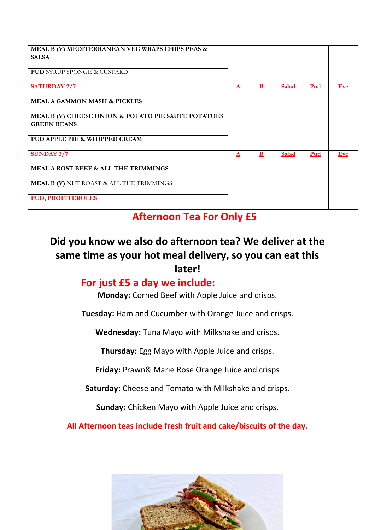| MEAL B (V) MEDITERRANEAN VEG WRAPS CHIPS PEAS &<br><b>SALSA</b><br><b>PUD</b> SYRUP SPONGE & CUSTARD                                                                         |              |   |              |     |            |
|------------------------------------------------------------------------------------------------------------------------------------------------------------------------------|--------------|---|--------------|-----|------------|
| <b>SATURDAY 2/7</b><br><b>MEAL A GAMMON MASH &amp; PICKLES</b><br>MEAL B (V) CHEESE ONION & POTATO PIE SAUTE POTATOES<br><b>GREEN BEANS</b><br>PUD APPLE PIE & WHIPPED CREAM | $\mathbf{A}$ | B | <b>Salad</b> | Pud | <b>Eve</b> |
| <b>SUNDAY 3/7</b><br><b>MEAL A ROST BEEF &amp; ALL THE TRIMMINGS</b><br><b>MEAL B (V) NUT ROAST &amp; ALL THE TRIMMINGS</b><br><b>PUD, PROFITEROLES</b>                      | $\mathbf{A}$ | B | <b>Salad</b> | Pud | Eve        |

### **Afternoon Tea For Only £5**

### **Did you know we also do afternoon tea? We deliver at the same time as your hot meal delivery, so you can eat this later!**

#### **For just £5 a day we include:**

**Monday:** Corned Beef with Apple Juice and crisps.

**Tuesday:** Ham and Cucumber with Orange Juice and crisps.

**Wednesday:** Tuna Mayo with Milkshake and crisps.

**Thursday:** Egg Mayo with Apple Juice and crisps.

**Friday:** Prawn& Marie Rose Orange Juice and crisps

**Saturday:** Cheese and Tomato with Milkshake and crisps.

**Sunday:** Chicken Mayo with Apple Juice and crisps.

**All Afternoon teas include fresh fruit and cake/biscuits of the day.**